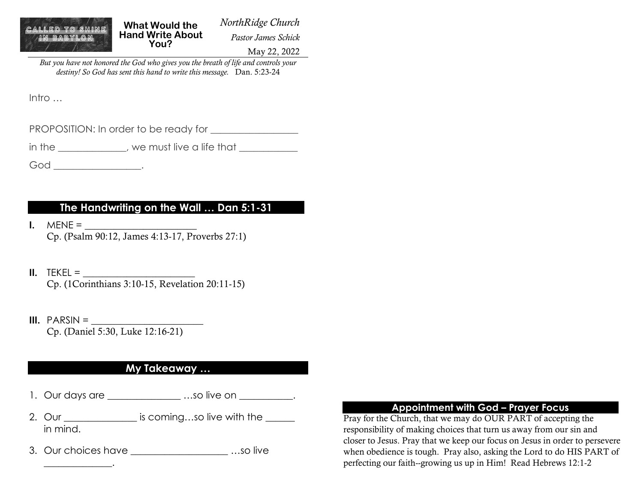

**What Would the Hand Write About You?**

*NorthRidge Church Pastor James Schick*

May 22, 2022

*But you have not honored the God who gives you the breath of life and controls your destiny! So God has sent this hand to write this message.* Dan. 5:23-24

Intro …

PROPOSITION: In order to be ready for

in the \_\_\_\_\_\_\_\_\_\_\_\_, we must live a life that \_\_\_\_\_\_\_\_\_\_\_\_

God \_\_\_\_\_\_\_\_\_\_\_\_\_\_\_.

# **The Handwriting on the Wall … Dan 5:1-31**

- **I.**  $MENE =$ Cp. (Psalm 90:12, James 4:13-17, Proverbs 27:1)
- **II.** TEKEL  $=$ Cp. (1Corinthians 3:10-15, Revelation 20:11-15)
- **III.** PARSIN = Cp. (Daniel 5:30, Luke 12:16-21)

\_\_\_\_\_\_\_\_\_\_\_\_\_\_.

## **My Takeaway …**

- 1. Our days are \_\_\_\_\_\_\_\_\_\_\_\_\_\_\_\_\_\_\_\_\_...so live on  $\qquad \qquad .$
- 2. Our \_\_\_\_\_\_\_\_\_\_\_\_\_\_\_\_\_ is coming...so live with the \_\_\_\_\_\_ in mind.
- 3. Our choices have many state when we have stated in the set of the set of the set of the set of the set of the set of the set of the set of the set of the set of the set of the set of the set of the set of the set of the

### **Appointment with God – Prayer Focus**

Pray for the Church, that we may do OUR PART of accepting the responsibility of making choices that turn us away from our sin and closer to Jesus. Pray that we keep our focus on Jesus in order to persevere when obedience is tough. Pray also, asking the Lord to do HIS PART of perfecting our faith--growing us up in Him! Read Hebrews 12:1-2